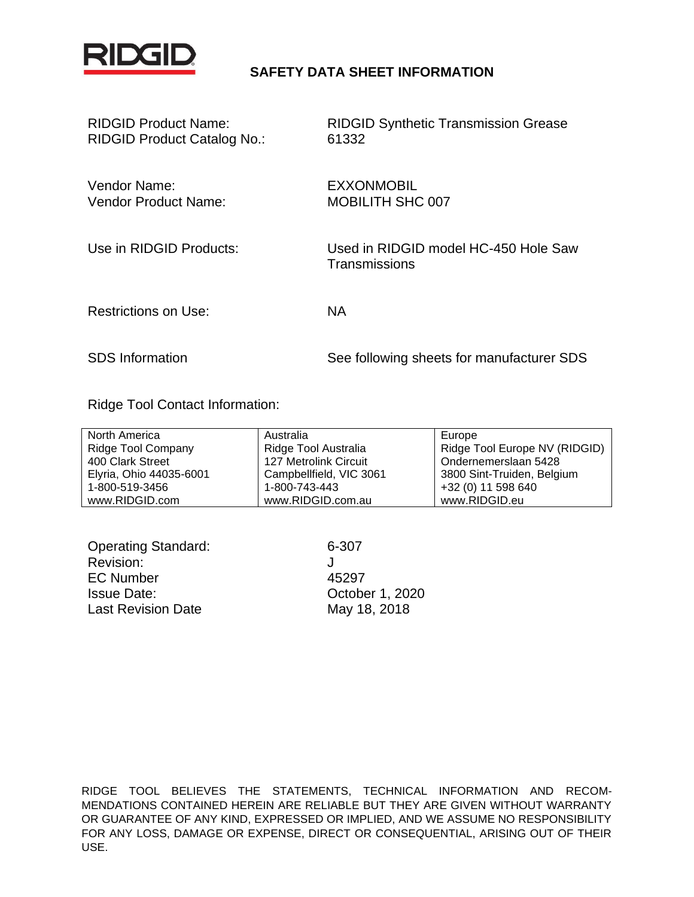

### **SAFETY DATA SHEET INFORMATION**

| <b>RIDGID Product Name:</b>        |  |
|------------------------------------|--|
| <b>RIDGID Product Catalog No.:</b> |  |

RIDGID Synthetic Transmission Grease 61332

Vendor Name: EXXONMOBIL Vendor Product Name: MOBILITH SHC 007

Use in RIDGID Products: Used in RIDGID model HC-450 Hole Saw **Transmissions** 

Restrictions on Use: NA

SDS Information See following sheets for manufacturer SDS

Ridge Tool Contact Information:

| North America             | Australia               | Europe                        |
|---------------------------|-------------------------|-------------------------------|
| <b>Ridge Tool Company</b> | Ridge Tool Australia    | Ridge Tool Europe NV (RIDGID) |
| 400 Clark Street          | 127 Metrolink Circuit   | Ondernemerslaan 5428          |
| Elyria, Ohio 44035-6001   | Campbellfield, VIC 3061 | 3800 Sint-Truiden, Belgium    |
| 1-800-519-3456            | 1-800-743-443           | +32 (0) 11 598 640            |
| www.RIDGID.com            | www.RIDGID.com.au       | www.RIDGID.eu                 |

| <b>Operating Standard:</b> | 6-307           |
|----------------------------|-----------------|
| Revision:                  |                 |
| <b>EC Number</b>           | 45297           |
| <b>Issue Date:</b>         | October 1, 2020 |
| <b>Last Revision Date</b>  | May 18, 2018    |

RIDGE TOOL BELIEVES THE STATEMENTS, TECHNICAL INFORMATION AND RECOM-MENDATIONS CONTAINED HEREIN ARE RELIABLE BUT THEY ARE GIVEN WITHOUT WARRANTY OR GUARANTEE OF ANY KIND, EXPRESSED OR IMPLIED, AND WE ASSUME NO RESPONSIBILITY FOR ANY LOSS, DAMAGE OR EXPENSE, DIRECT OR CONSEQUENTIAL, ARISING OUT OF THEIR USE.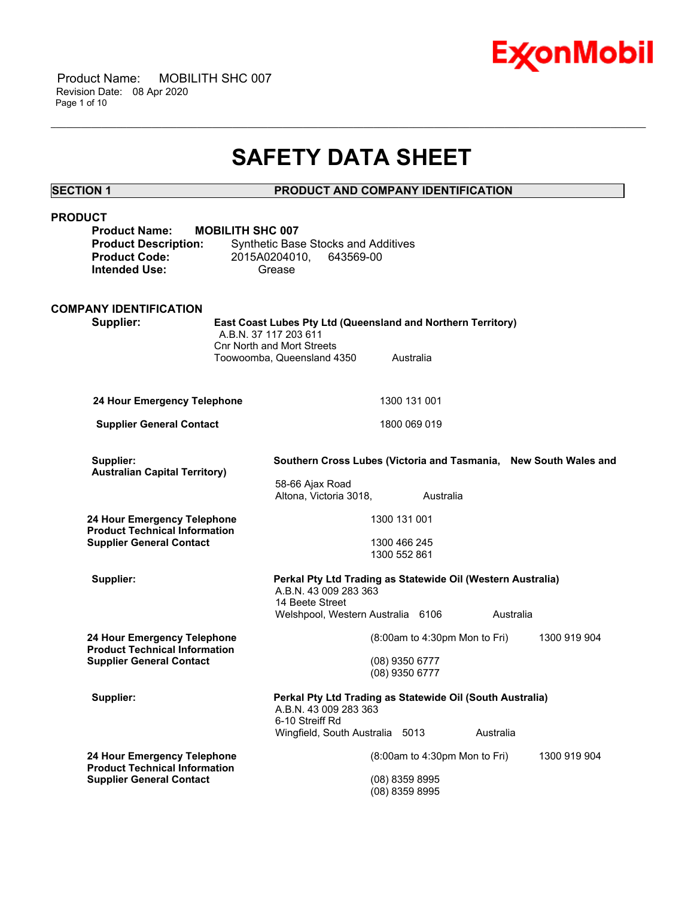

## **SAFETY DATA SHEET**

\_\_\_\_\_\_\_\_\_\_\_\_\_\_\_\_\_\_\_\_\_\_\_\_\_\_\_\_\_\_\_\_\_\_\_\_\_\_\_\_\_\_\_\_\_\_\_\_\_\_\_\_\_\_\_\_\_\_\_\_\_\_\_\_\_\_\_\_\_\_\_\_\_\_\_\_\_\_\_\_\_\_\_\_\_\_\_\_\_\_\_\_\_\_\_\_\_\_\_\_\_\_\_\_\_\_\_\_\_\_\_\_\_\_\_\_\_\_

#### **SECTION 1 PRODUCT AND COMPANY IDENTIFICATION**

| <b>PRODUCT</b>                                                      | <b>Product Name:</b><br><b>Product Description:</b><br><b>Product Code:</b><br><b>Intended Use:</b> | <b>MOBILITH SHC 007</b> | Synthetic Base Stocks and Additives<br>2015A0204010,<br>643569-00<br>Grease                             |                                  |                                 |           |              |
|---------------------------------------------------------------------|-----------------------------------------------------------------------------------------------------|-------------------------|---------------------------------------------------------------------------------------------------------|----------------------------------|---------------------------------|-----------|--------------|
|                                                                     | <b>COMPANY IDENTIFICATION</b><br>Supplier:                                                          | A.B.N. 37 117 203 611   | East Coast Lubes Pty Ltd (Queensland and Northern Territory)                                            |                                  |                                 |           |              |
|                                                                     |                                                                                                     |                         | <b>Cnr North and Mort Streets</b><br>Toowoomba, Queensland 4350                                         | Australia                        |                                 |           |              |
|                                                                     | 24 Hour Emergency Telephone                                                                         |                         |                                                                                                         | 1300 131 001                     |                                 |           |              |
|                                                                     | <b>Supplier General Contact</b>                                                                     |                         |                                                                                                         | 1800 069 019                     |                                 |           |              |
|                                                                     | Supplier:<br><b>Australian Capital Territory)</b>                                                   |                         | Southern Cross Lubes (Victoria and Tasmania, New South Wales and                                        |                                  |                                 |           |              |
|                                                                     |                                                                                                     |                         | 58-66 Ajax Road<br>Altona, Victoria 3018,                                                               |                                  | Australia                       |           |              |
| 24 Hour Emergency Telephone<br><b>Product Technical Information</b> |                                                                                                     |                         |                                                                                                         | 1300 131 001                     |                                 |           |              |
|                                                                     | <b>Supplier General Contact</b>                                                                     |                         |                                                                                                         | 1300 466 245<br>1300 552 861     |                                 |           |              |
|                                                                     | Supplier:                                                                                           |                         | Perkal Pty Ltd Trading as Statewide Oil (Western Australia)<br>A.B.N. 43 009 283 363<br>14 Beete Street |                                  |                                 |           |              |
|                                                                     |                                                                                                     |                         | Welshpool, Western Australia 6106                                                                       |                                  |                                 | Australia |              |
|                                                                     | 24 Hour Emergency Telephone<br><b>Product Technical Information</b>                                 |                         |                                                                                                         |                                  | $(8:00am$ to 4:30pm Mon to Fri) |           | 1300 919 904 |
|                                                                     | <b>Supplier General Contact</b>                                                                     |                         |                                                                                                         | (08) 9350 6777<br>(08) 9350 6777 |                                 |           |              |
|                                                                     | Supplier:                                                                                           |                         | Perkal Pty Ltd Trading as Statewide Oil (South Australia)<br>A.B.N. 43 009 283 363<br>6-10 Streiff Rd   |                                  |                                 |           |              |
|                                                                     |                                                                                                     |                         | Wingfield, South Australia 5013                                                                         |                                  |                                 | Australia |              |
|                                                                     | 24 Hour Emergency Telephone<br><b>Product Technical Information</b>                                 |                         |                                                                                                         |                                  | $(8:00am$ to 4:30pm Mon to Fri) |           | 1300 919 904 |
|                                                                     | <b>Supplier General Contact</b>                                                                     |                         |                                                                                                         | (08) 8359 8995<br>(08) 8359 8995 |                                 |           |              |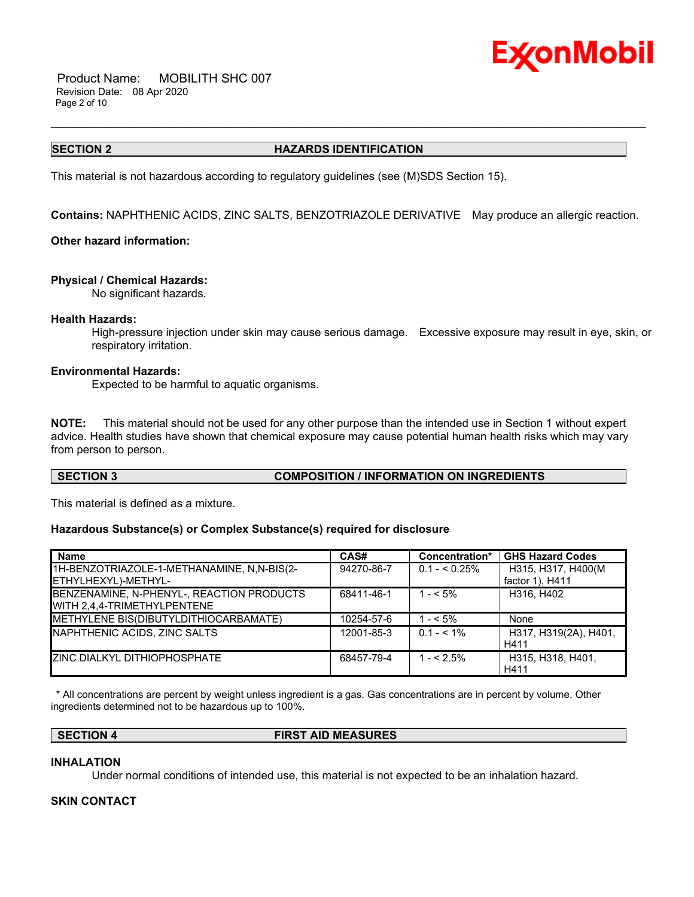

 Product Name: MOBILITH SHC 007 Revision Date: 08 Apr 2020 Page 2 of 10

#### **SECTION 2 HAZARDS IDENTIFICATION**

\_\_\_\_\_\_\_\_\_\_\_\_\_\_\_\_\_\_\_\_\_\_\_\_\_\_\_\_\_\_\_\_\_\_\_\_\_\_\_\_\_\_\_\_\_\_\_\_\_\_\_\_\_\_\_\_\_\_\_\_\_\_\_\_\_\_\_\_\_\_\_\_\_\_\_\_\_\_\_\_\_\_\_\_\_\_\_\_\_\_\_\_\_\_\_\_\_\_\_\_\_\_\_\_\_\_\_\_\_\_\_\_\_\_\_\_\_\_

This material is not hazardous according to regulatory guidelines (see (M)SDS Section 15).

**Contains:** NAPHTHENIC ACIDS, ZINC SALTS, BENZOTRIAZOLE DERIVATIVE May produce an allergic reaction.

#### **Other hazard information:**

#### **Physical / Chemical Hazards:**

No significant hazards.

#### **Health Hazards:**

High-pressure injection under skin may cause serious damage. Excessive exposure may result in eye, skin, or respiratory irritation.

#### **Environmental Hazards:**

Expected to be harmful to aquatic organisms.

**NOTE:** This material should not be used for any other purpose than the intended use in Section 1 without expert advice. Health studies have shown that chemical exposure may cause potential human health risks which may vary from person to person.

#### **SECTION 3 COMPOSITION / INFORMATION ON INGREDIENTS**

This material is defined as a mixture.

#### **Hazardous Substance(s) or Complex Substance(s) required for disclosure**

| <b>Name</b>                                | CAS#       | Concentration* | <b>GHS Hazard Codes</b> |
|--------------------------------------------|------------|----------------|-------------------------|
| 1H-BENZOTRIAZOLE-1-METHANAMINE, N,N-BIS(2- | 94270-86-7 | $0.1 - 5.25\%$ | H315, H317, H400(M      |
| ETHYLHEXYL)-METHYL-                        |            |                | factor 1), H411         |
| BENZENAMINE, N-PHENYL-, REACTION PRODUCTS  | 68411-46-1 | $1 - 5\%$      | H316, H402              |
| WITH 2.4.4-TRIMETHYLPENTENE                |            |                |                         |
| METHYLENE BIS(DIBUTYLDITHIOCARBAMATE)      | 10254-57-6 | $1 - 5\%$      | None                    |
| NAPHTHENIC ACIDS, ZINC SALTS               | 12001-85-3 | $0.1 - 5.1\%$  | H317, H319(2A), H401,   |
|                                            |            |                | H411                    |
| <b>ZINC DIALKYL DITHIOPHOSPHATE</b>        | 68457-79-4 | $1 - 5\%$      | H315, H318, H401.       |
|                                            |            |                | H411                    |

 \* All concentrations are percent by weight unless ingredient is a gas. Gas concentrations are in percent by volume. Other ingredients determined not to be hazardous up to 100%.

**SECTION 4 FIRST AID MEASURES**

#### **INHALATION**

Under normal conditions of intended use, this material is not expected to be an inhalation hazard.

#### **SKIN CONTACT**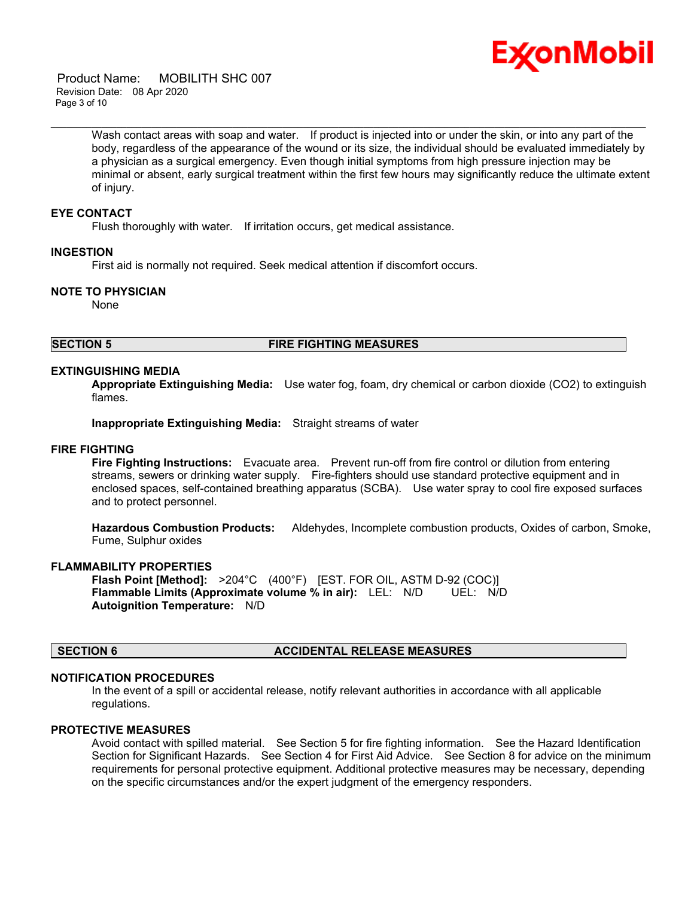

 Product Name: MOBILITH SHC 007 Revision Date: 08 Apr 2020 Page 3 of 10

> Wash contact areas with soap and water. If product is injected into or under the skin, or into any part of the body, regardless of the appearance of the wound or its size, the individual should be evaluated immediately by a physician as a surgical emergency. Even though initial symptoms from high pressure injection may be minimal or absent, early surgical treatment within the first few hours may significantly reduce the ultimate extent of injury.

\_\_\_\_\_\_\_\_\_\_\_\_\_\_\_\_\_\_\_\_\_\_\_\_\_\_\_\_\_\_\_\_\_\_\_\_\_\_\_\_\_\_\_\_\_\_\_\_\_\_\_\_\_\_\_\_\_\_\_\_\_\_\_\_\_\_\_\_\_\_\_\_\_\_\_\_\_\_\_\_\_\_\_\_\_\_\_\_\_\_\_\_\_\_\_\_\_\_\_\_\_\_\_\_\_\_\_\_\_\_\_\_\_\_\_\_\_\_

#### **EYE CONTACT**

Flush thoroughly with water. If irritation occurs, get medical assistance.

#### **INGESTION**

First aid is normally not required. Seek medical attention if discomfort occurs.

#### **NOTE TO PHYSICIAN**

None

#### **SECTION 5 FIRE FIGHTING MEASURES**

#### **EXTINGUISHING MEDIA**

**Appropriate Extinguishing Media:** Use water fog, foam, dry chemical or carbon dioxide (CO2) to extinguish flames.

**Inappropriate Extinguishing Media:** Straight streams of water

#### **FIRE FIGHTING**

**Fire Fighting Instructions:** Evacuate area. Prevent run-off from fire control or dilution from entering streams, sewers or drinking water supply. Fire-fighters should use standard protective equipment and in enclosed spaces, self-contained breathing apparatus (SCBA). Use water spray to cool fire exposed surfaces and to protect personnel.

**Hazardous Combustion Products:** Aldehydes, Incomplete combustion products, Oxides of carbon, Smoke, Fume, Sulphur oxides

#### **FLAMMABILITY PROPERTIES**

**Flash Point [Method]:** >204°C (400°F) [EST. FOR OIL, ASTM D-92 (COC)] **Flammable Limits (Approximate volume % in air):** LEL: N/D UEL: N/D **Autoignition Temperature:** N/D

#### **SECTION 6 ACCIDENTAL RELEASE MEASURES**

#### **NOTIFICATION PROCEDURES**

In the event of a spill or accidental release, notify relevant authorities in accordance with all applicable regulations.

#### **PROTECTIVE MEASURES**

Avoid contact with spilled material. See Section 5 for fire fighting information. See the Hazard Identification Section for Significant Hazards. See Section 4 for First Aid Advice. See Section 8 for advice on the minimum requirements for personal protective equipment. Additional protective measures may be necessary, depending on the specific circumstances and/or the expert judgment of the emergency responders.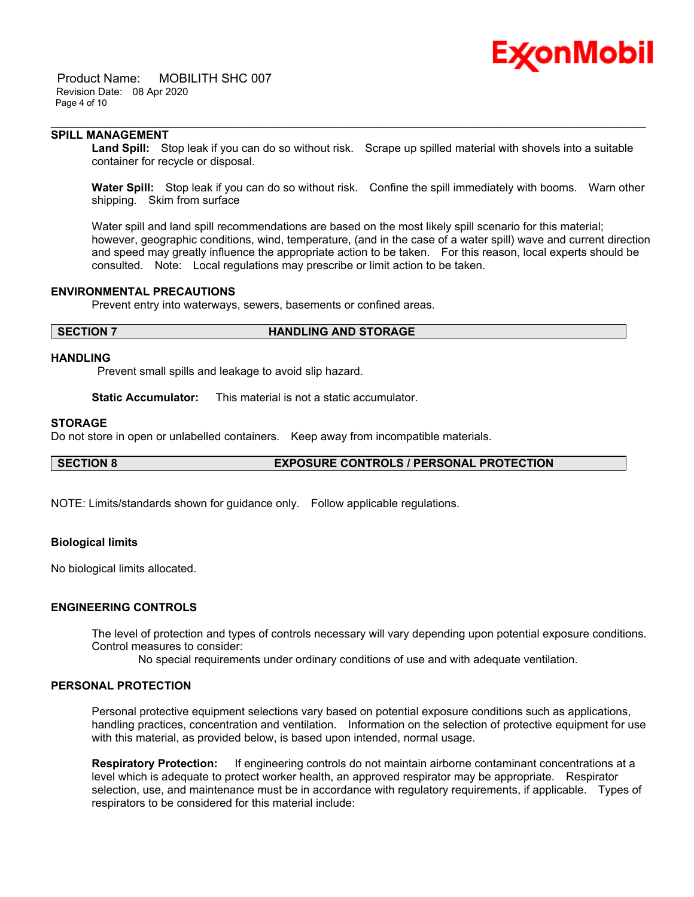# Ex⁄onMobil

 Product Name: MOBILITH SHC 007 Revision Date: 08 Apr 2020 Page 4 of 10

#### **SPILL MANAGEMENT**

**Land Spill:** Stop leak if you can do so without risk. Scrape up spilled material with shovels into a suitable container for recycle or disposal.

\_\_\_\_\_\_\_\_\_\_\_\_\_\_\_\_\_\_\_\_\_\_\_\_\_\_\_\_\_\_\_\_\_\_\_\_\_\_\_\_\_\_\_\_\_\_\_\_\_\_\_\_\_\_\_\_\_\_\_\_\_\_\_\_\_\_\_\_\_\_\_\_\_\_\_\_\_\_\_\_\_\_\_\_\_\_\_\_\_\_\_\_\_\_\_\_\_\_\_\_\_\_\_\_\_\_\_\_\_\_\_\_\_\_\_\_\_\_

**Water Spill:** Stop leak if you can do so without risk. Confine the spill immediately with booms. Warn other shipping. Skim from surface

Water spill and land spill recommendations are based on the most likely spill scenario for this material; however, geographic conditions, wind, temperature, (and in the case of a water spill) wave and current direction and speed may greatly influence the appropriate action to be taken. For this reason, local experts should be consulted. Note: Local regulations may prescribe or limit action to be taken.

#### **ENVIRONMENTAL PRECAUTIONS**

Prevent entry into waterways, sewers, basements or confined areas.

#### **SECTION 7 HANDLING AND STORAGE**

#### **HANDLING**

Prevent small spills and leakage to avoid slip hazard.

**Static Accumulator:** This material is not a static accumulator.

#### **STORAGE**

Do not store in open or unlabelled containers. Keep away from incompatible materials.

**SECTION 8 EXPOSURE CONTROLS / PERSONAL PROTECTION**

NOTE: Limits/standards shown for guidance only. Follow applicable regulations.

#### **Biological limits**

No biological limits allocated.

#### **ENGINEERING CONTROLS**

The level of protection and types of controls necessary will vary depending upon potential exposure conditions. Control measures to consider:

No special requirements under ordinary conditions of use and with adequate ventilation.

#### **PERSONAL PROTECTION**

Personal protective equipment selections vary based on potential exposure conditions such as applications, handling practices, concentration and ventilation. Information on the selection of protective equipment for use with this material, as provided below, is based upon intended, normal usage.

**Respiratory Protection:** If engineering controls do not maintain airborne contaminant concentrations at a level which is adequate to protect worker health, an approved respirator may be appropriate. Respirator selection, use, and maintenance must be in accordance with regulatory requirements, if applicable. Types of respirators to be considered for this material include: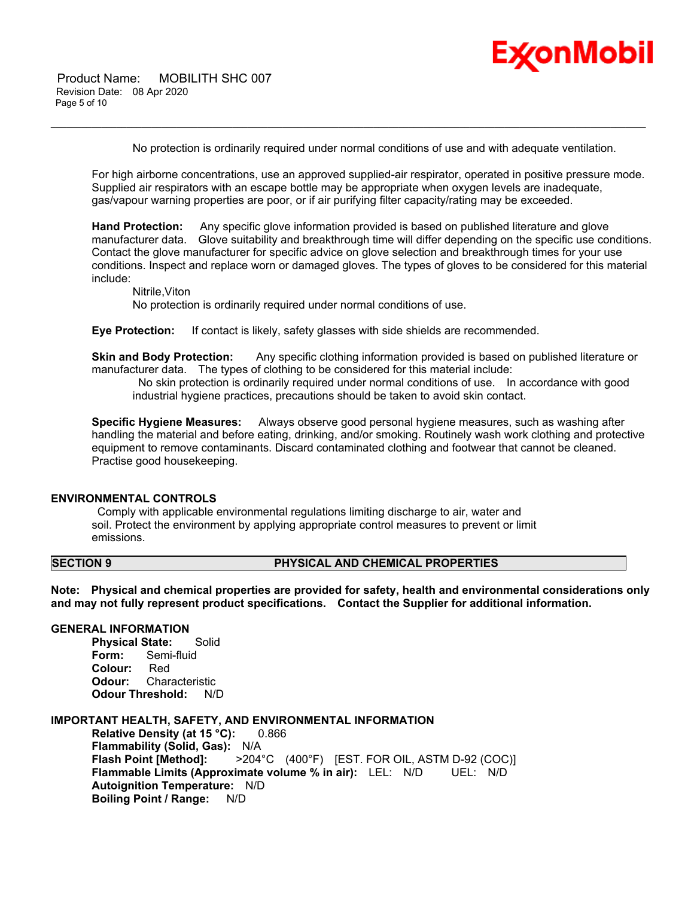

 Product Name: MOBILITH SHC 007 Revision Date: 08 Apr 2020 Page 5 of 10

No protection is ordinarily required under normal conditions of use and with adequate ventilation.

\_\_\_\_\_\_\_\_\_\_\_\_\_\_\_\_\_\_\_\_\_\_\_\_\_\_\_\_\_\_\_\_\_\_\_\_\_\_\_\_\_\_\_\_\_\_\_\_\_\_\_\_\_\_\_\_\_\_\_\_\_\_\_\_\_\_\_\_\_\_\_\_\_\_\_\_\_\_\_\_\_\_\_\_\_\_\_\_\_\_\_\_\_\_\_\_\_\_\_\_\_\_\_\_\_\_\_\_\_\_\_\_\_\_\_\_\_\_

For high airborne concentrations, use an approved supplied-air respirator, operated in positive pressure mode. Supplied air respirators with an escape bottle may be appropriate when oxygen levels are inadequate, gas/vapour warning properties are poor, or if air purifying filter capacity/rating may be exceeded.

**Hand Protection:** Any specific glove information provided is based on published literature and glove manufacturer data. Glove suitability and breakthrough time will differ depending on the specific use conditions. Contact the glove manufacturer for specific advice on glove selection and breakthrough times for your use conditions. Inspect and replace worn or damaged gloves. The types of gloves to be considered for this material include:

Nitrile,Viton

No protection is ordinarily required under normal conditions of use.

**Eye Protection:** If contact is likely, safety glasses with side shields are recommended.

**Skin and Body Protection:** Any specific clothing information provided is based on published literature or manufacturer data. The types of clothing to be considered for this material include:

 No skin protection is ordinarily required under normal conditions of use. In accordance with good industrial hygiene practices, precautions should be taken to avoid skin contact.

**Specific Hygiene Measures:** Always observe good personal hygiene measures, such as washing after handling the material and before eating, drinking, and/or smoking. Routinely wash work clothing and protective equipment to remove contaminants. Discard contaminated clothing and footwear that cannot be cleaned. Practise good housekeeping.

#### **ENVIRONMENTAL CONTROLS**

 Comply with applicable environmental regulations limiting discharge to air, water and soil. Protect the environment by applying appropriate control measures to prevent or limit emissions.

#### **SECTION 9 PHYSICAL AND CHEMICAL PROPERTIES**

**Note: Physical and chemical properties are provided for safety, health and environmental considerations only and may not fully represent product specifications. Contact the Supplier for additional information.**

#### **GENERAL INFORMATION**

**Physical State:** Solid **Form:** Semi-fluid **Colour:** Red **Odour:** Characteristic **Odour Threshold:** N/D

#### **IMPORTANT HEALTH, SAFETY, AND ENVIRONMENTAL INFORMATION**

**Relative Density (at 15 °C):** 0.866 **Flammability (Solid, Gas):** N/A **Flash Point [Method]:** >204°C (400°F) [EST. FOR OIL, ASTM D-92 (COC)] **Flammable Limits (Approximate volume % in air):** LEL: N/D UEL: N/D **Autoignition Temperature:** N/D **Boiling Point / Range:** N/D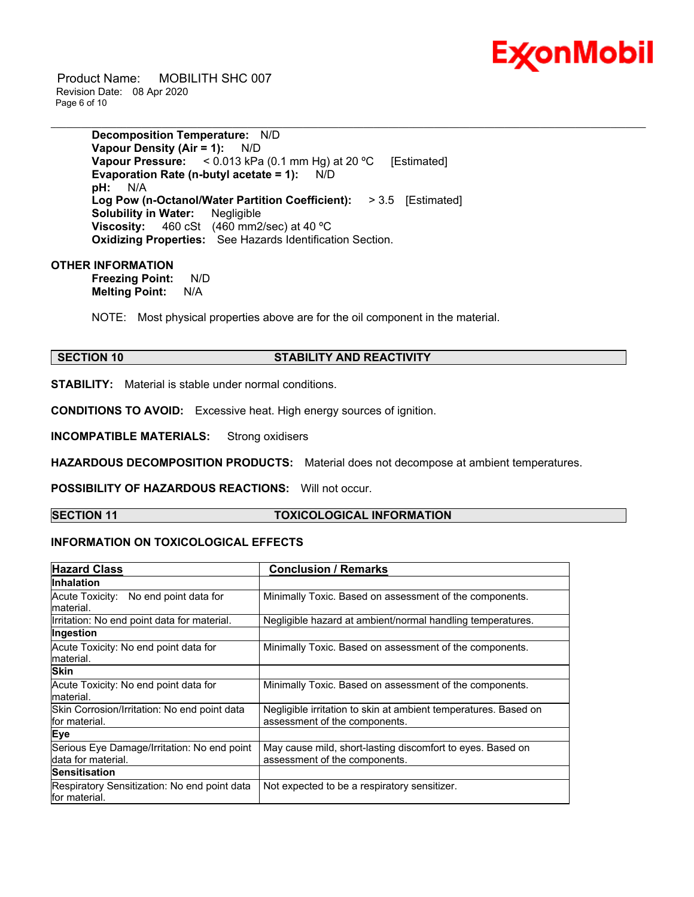

 Product Name: MOBILITH SHC 007 Revision Date: 08 Apr 2020 Page 6 of 10

> **Decomposition Temperature:** N/D **Vapour Density (Air = 1):** N/D **Vapour Pressure:** < 0.013 kPa (0.1 mm Hg) at 20 ºC [Estimated] **Evaporation Rate (n-butyl acetate = 1):** N/D **pH:** N/A **Log Pow (n-Octanol/Water Partition Coefficient):** > 3.5 [Estimated] **Solubility in Water:** Negligible **Viscosity:** 460 cSt (460 mm2/sec) at 40 ºC **Oxidizing Properties:** See Hazards Identification Section.

#### **OTHER INFORMATION**

**Freezing Point:** N/D **Melting Point:** N/A

NOTE: Most physical properties above are for the oil component in the material.

#### **SECTION 10 STABILITY AND REACTIVITY**

\_\_\_\_\_\_\_\_\_\_\_\_\_\_\_\_\_\_\_\_\_\_\_\_\_\_\_\_\_\_\_\_\_\_\_\_\_\_\_\_\_\_\_\_\_\_\_\_\_\_\_\_\_\_\_\_\_\_\_\_\_\_\_\_\_\_\_\_\_\_\_\_\_\_\_\_\_\_\_\_\_\_\_\_\_\_\_\_\_\_\_\_\_\_\_\_\_\_\_\_\_\_\_\_\_\_\_\_\_\_\_\_\_\_\_\_\_\_

**STABILITY:** Material is stable under normal conditions.

**CONDITIONS TO AVOID:** Excessive heat. High energy sources of ignition.

**INCOMPATIBLE MATERIALS:** Strong oxidisers

**HAZARDOUS DECOMPOSITION PRODUCTS:** Material does not decompose at ambient temperatures.

**POSSIBILITY OF HAZARDOUS REACTIONS:** Will not occur.

### **SECTION 11 TOXICOLOGICAL INFORMATION**

### **INFORMATION ON TOXICOLOGICAL EFFECTS**

| <b>Hazard Class</b>                                           | <b>Conclusion / Remarks</b>                                     |  |  |
|---------------------------------------------------------------|-----------------------------------------------------------------|--|--|
| Inhalation                                                    |                                                                 |  |  |
| Acute Toxicity: No end point data for                         | Minimally Toxic. Based on assessment of the components.         |  |  |
| lmaterial.                                                    |                                                                 |  |  |
| Irritation: No end point data for material.                   | Negligible hazard at ambient/normal handling temperatures.      |  |  |
| Ingestion                                                     |                                                                 |  |  |
| Acute Toxicity: No end point data for                         | Minimally Toxic. Based on assessment of the components.         |  |  |
| material.                                                     |                                                                 |  |  |
| <b>Skin</b>                                                   |                                                                 |  |  |
| Acute Toxicity: No end point data for                         | Minimally Toxic. Based on assessment of the components.         |  |  |
| material.                                                     |                                                                 |  |  |
| Skin Corrosion/Irritation: No end point data                  | Negligible irritation to skin at ambient temperatures. Based on |  |  |
| for material.                                                 | assessment of the components.                                   |  |  |
| Eye                                                           |                                                                 |  |  |
| Serious Eye Damage/Irritation: No end point                   | May cause mild, short-lasting discomfort to eyes. Based on      |  |  |
| data for material.                                            | assessment of the components.                                   |  |  |
| <b>Sensitisation</b>                                          |                                                                 |  |  |
| Respiratory Sensitization: No end point data<br>for material. | Not expected to be a respiratory sensitizer.                    |  |  |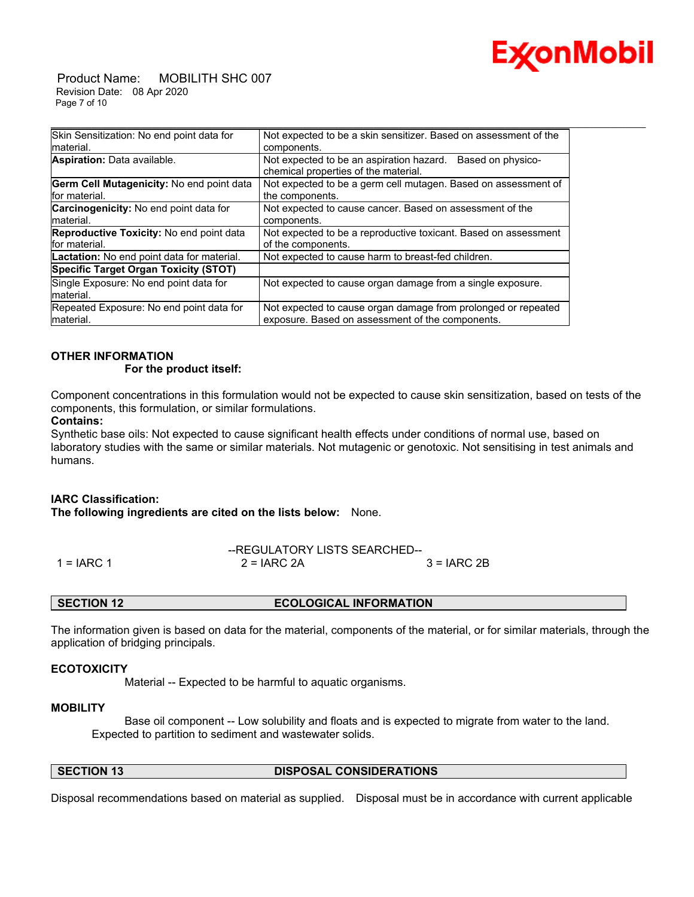

 Product Name: MOBILITH SHC 007 Revision Date: 08 Apr 2020 Page 7 of 10

| Skin Sensitization: No end point data for<br>Not expected to be a skin sensitizer. Based on assessment of the                        |  |
|--------------------------------------------------------------------------------------------------------------------------------------|--|
| Imaterial.<br>components.                                                                                                            |  |
| Aspiration: Data available.<br>Not expected to be an aspiration hazard.<br>Based on physico-<br>chemical properties of the material. |  |
| Germ Cell Mutagenicity: No end point data<br>Not expected to be a germ cell mutagen. Based on assessment of                          |  |
| for material.<br>the components.                                                                                                     |  |
| <b>Carcinogenicity:</b> No end point data for<br>Not expected to cause cancer. Based on assessment of the                            |  |
| material.<br>components.                                                                                                             |  |
| <b>Reproductive Toxicity:</b> No end point data<br>Not expected to be a reproductive toxicant. Based on assessment                   |  |
| for material.<br>of the components.                                                                                                  |  |
| Lactation: No end point data for material.<br>Not expected to cause harm to breast-fed children.                                     |  |
| Specific Target Organ Toxicity (STOT)                                                                                                |  |
| Single Exposure: No end point data for<br>Not expected to cause organ damage from a single exposure.                                 |  |
| material.                                                                                                                            |  |
| Repeated Exposure: No end point data for<br>Not expected to cause organ damage from prolonged or repeated                            |  |
| exposure. Based on assessment of the components.<br>material.                                                                        |  |

### **OTHER INFORMATION**

#### **For the product itself:**

Component concentrations in this formulation would not be expected to cause skin sensitization, based on tests of the components, this formulation, or similar formulations.

#### **Contains:**

Synthetic base oils: Not expected to cause significant health effects under conditions of normal use, based on laboratory studies with the same or similar materials. Not mutagenic or genotoxic. Not sensitising in test animals and humans.

#### **IARC Classification:**

**The following ingredients are cited on the lists below:** None.

|              | --REGULATORY LISTS SEARCHED-- |               |
|--------------|-------------------------------|---------------|
| $1 = IARC 1$ | $2 = IARC 2A$                 | $3 = IARC 2B$ |

#### **SECTION 12 ECOLOGICAL INFORMATION**

The information given is based on data for the material, components of the material, or for similar materials, through the application of bridging principals.

#### **ECOTOXICITY**

Material -- Expected to be harmful to aquatic organisms.

#### **MOBILITY**

 Base oil component -- Low solubility and floats and is expected to migrate from water to the land. Expected to partition to sediment and wastewater solids.

#### **SECTION 13 DISPOSAL CONSIDERATIONS**

Disposal recommendations based on material as supplied. Disposal must be in accordance with current applicable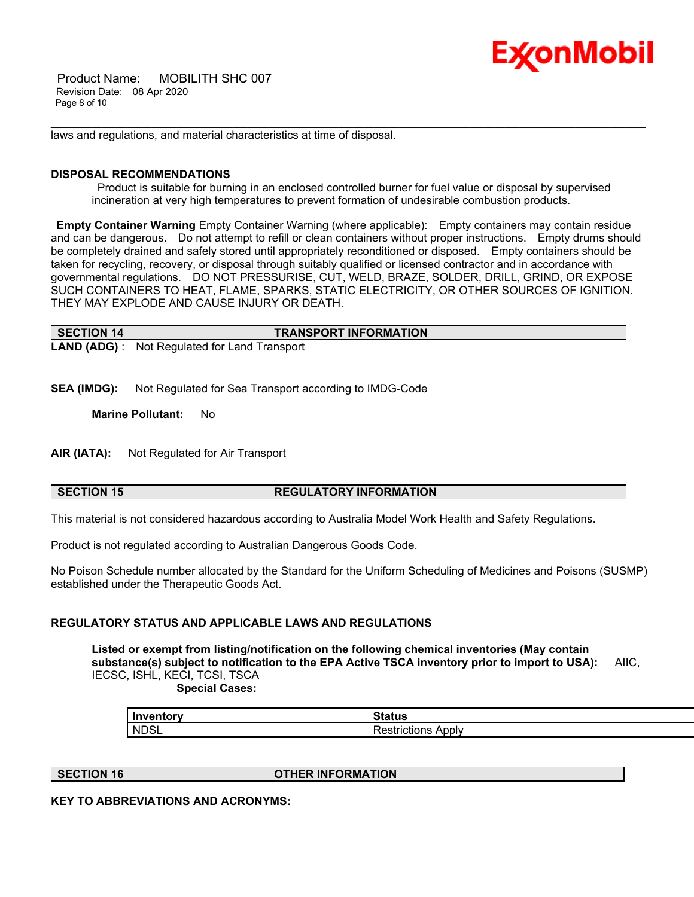

 Product Name: MOBILITH SHC 007 Revision Date: 08 Apr 2020 Page 8 of 10

laws and regulations, and material characteristics at time of disposal.

#### **DISPOSAL RECOMMENDATIONS**

 Product is suitable for burning in an enclosed controlled burner for fuel value or disposal by supervised incineration at very high temperatures to prevent formation of undesirable combustion products.

\_\_\_\_\_\_\_\_\_\_\_\_\_\_\_\_\_\_\_\_\_\_\_\_\_\_\_\_\_\_\_\_\_\_\_\_\_\_\_\_\_\_\_\_\_\_\_\_\_\_\_\_\_\_\_\_\_\_\_\_\_\_\_\_\_\_\_\_\_\_\_\_\_\_\_\_\_\_\_\_\_\_\_\_\_\_\_\_\_\_\_\_\_\_\_\_\_\_\_\_\_\_\_\_\_\_\_\_\_\_\_\_\_\_\_\_\_\_

**Empty Container Warning** Empty Container Warning (where applicable): Empty containers may contain residue and can be dangerous. Do not attempt to refill or clean containers without proper instructions. Empty drums should be completely drained and safely stored until appropriately reconditioned or disposed. Empty containers should be taken for recycling, recovery, or disposal through suitably qualified or licensed contractor and in accordance with governmental regulations. DO NOT PRESSURISE, CUT, WELD, BRAZE, SOLDER, DRILL, GRIND, OR EXPOSE SUCH CONTAINERS TO HEAT, FLAME, SPARKS, STATIC ELECTRICITY, OR OTHER SOURCES OF IGNITION. THEY MAY EXPLODE AND CAUSE INJURY OR DEATH.

| SECTION 14 | <b>TRANSPORT INFORMATION</b>                         |
|------------|------------------------------------------------------|
|            | <b>LAND (ADG)</b> : Not Regulated for Land Transport |

**SEA (IMDG):** Not Regulated for Sea Transport according to IMDG-Code

**Marine Pollutant:** No

**AIR (IATA):** Not Regulated for Air Transport

### **SECTION 15 REGULATORY INFORMATION**

This material is not considered hazardous according to Australia Model Work Health and Safety Regulations.

Product is not regulated according to Australian Dangerous Goods Code.

No Poison Schedule number allocated by the Standard for the Uniform Scheduling of Medicines and Poisons (SUSMP) established under the Therapeutic Goods Act.

#### **REGULATORY STATUS AND APPLICABLE LAWS AND REGULATIONS**

**Listed or exempt from listing/notification on the following chemical inventories (May contain substance(s) subject to notification to the EPA Active TSCA inventory prior to import to USA):** AIIC, IECSC, ISHL, KECI, TCSI, TSCA

 **Special Cases:**

| Inventory   | <b>Status</b>               |
|-------------|-----------------------------|
| <b>NDSL</b> | Apply<br>≺estrictions<br>∼∽ |

**SECTION 16 OTHER INFORMATION**

**KEY TO ABBREVIATIONS AND ACRONYMS:**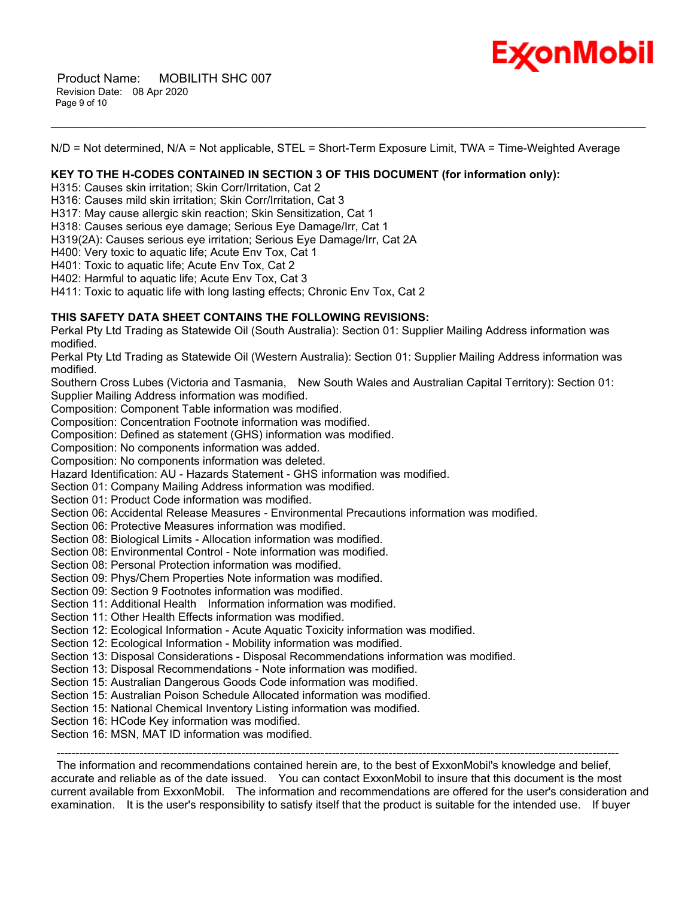

N/D = Not determined, N/A = Not applicable, STEL = Short-Term Exposure Limit, TWA = Time-Weighted Average

\_\_\_\_\_\_\_\_\_\_\_\_\_\_\_\_\_\_\_\_\_\_\_\_\_\_\_\_\_\_\_\_\_\_\_\_\_\_\_\_\_\_\_\_\_\_\_\_\_\_\_\_\_\_\_\_\_\_\_\_\_\_\_\_\_\_\_\_\_\_\_\_\_\_\_\_\_\_\_\_\_\_\_\_\_\_\_\_\_\_\_\_\_\_\_\_\_\_\_\_\_\_\_\_\_\_\_\_\_\_\_\_\_\_\_\_\_\_

### **KEY TO THE H-CODES CONTAINED IN SECTION 3 OF THIS DOCUMENT (for information only):**

H315: Causes skin irritation; Skin Corr/Irritation, Cat 2

H316: Causes mild skin irritation; Skin Corr/Irritation, Cat 3

H317: May cause allergic skin reaction; Skin Sensitization, Cat 1

H318: Causes serious eye damage; Serious Eye Damage/Irr, Cat 1

H319(2A): Causes serious eye irritation; Serious Eye Damage/Irr, Cat 2A

H400: Very toxic to aquatic life; Acute Env Tox, Cat 1

H401: Toxic to aquatic life; Acute Env Tox, Cat 2

H402: Harmful to aquatic life; Acute Env Tox, Cat 3

H411: Toxic to aquatic life with long lasting effects; Chronic Env Tox, Cat 2

#### **THIS SAFETY DATA SHEET CONTAINS THE FOLLOWING REVISIONS:**

Perkal Pty Ltd Trading as Statewide Oil (South Australia): Section 01: Supplier Mailing Address information was modified.

Perkal Pty Ltd Trading as Statewide Oil (Western Australia): Section 01: Supplier Mailing Address information was modified.

Southern Cross Lubes (Victoria and Tasmania, New South Wales and Australian Capital Territory): Section 01: Supplier Mailing Address information was modified.

Composition: Component Table information was modified.

Composition: Concentration Footnote information was modified.

Composition: Defined as statement (GHS) information was modified.

Composition: No components information was added.

Composition: No components information was deleted.

Hazard Identification: AU - Hazards Statement - GHS information was modified.

Section 01: Company Mailing Address information was modified.

Section 01: Product Code information was modified.

Section 06: Accidental Release Measures - Environmental Precautions information was modified.

Section 06: Protective Measures information was modified.

Section 08: Biological Limits - Allocation information was modified.

Section 08: Environmental Control - Note information was modified.

Section 08: Personal Protection information was modified.

Section 09: Phys/Chem Properties Note information was modified.

Section 09: Section 9 Footnotes information was modified.

Section 11: Additional Health Information information was modified.

Section 11: Other Health Effects information was modified.

Section 12: Ecological Information - Acute Aquatic Toxicity information was modified.

Section 12: Ecological Information - Mobility information was modified.

Section 13: Disposal Considerations - Disposal Recommendations information was modified.

Section 13: Disposal Recommendations - Note information was modified.

Section 15: Australian Dangerous Goods Code information was modified.

Section 15: Australian Poison Schedule Allocated information was modified.

Section 15: National Chemical Inventory Listing information was modified.

Section 16: HCode Key information was modified.

Section 16: MSN, MAT ID information was modified.

-----------------------------------------------------------------------------------------------------------------------------------------------------

 The information and recommendations contained herein are, to the best of ExxonMobil's knowledge and belief, accurate and reliable as of the date issued. You can contact ExxonMobil to insure that this document is the most current available from ExxonMobil. The information and recommendations are offered for the user's consideration and examination. It is the user's responsibility to satisfy itself that the product is suitable for the intended use. If buyer